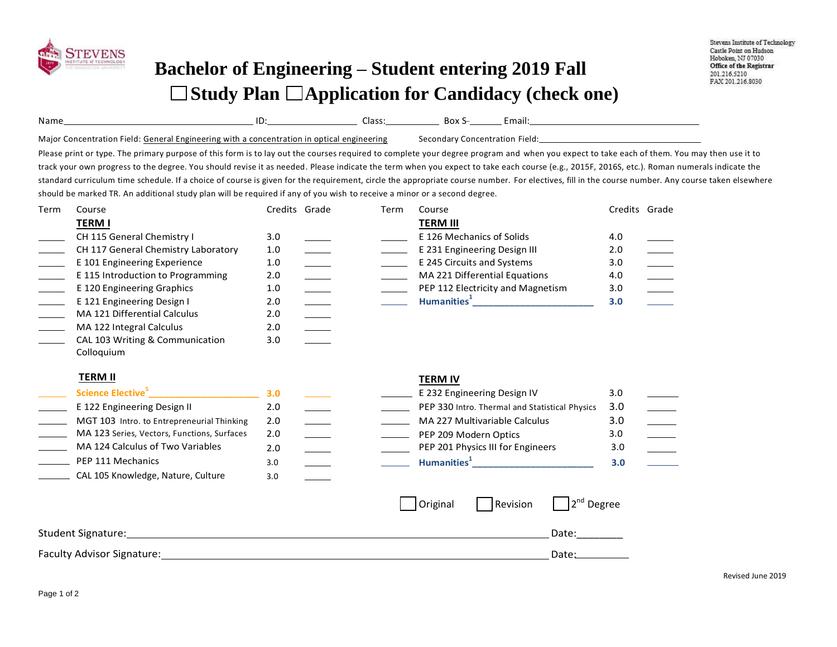

## **Bachelor of Engineering – Student entering 2019 Fall Study Plan Application for Candidacy (check one)**

| Name                                                                                       | ┙ | Class: | Box S                          | mail. |
|--------------------------------------------------------------------------------------------|---|--------|--------------------------------|-------|
| Major Concentration Field: General Engineering with a concentration in optical engineering |   |        | Secondary Concentration Field: |       |

Please print or type. The primary purpose of this form is to lay out the courses required to complete your degree program and when you expect to take each of them. You may then use it to track your own progress to the degree. You should revise it as needed. Please indicate the term when you expect to take each course (e.g., 2015F, 2016S, etc.). Roman numerals indicate the standard curriculum time schedule. If a choice of course is given for the requirement, circle the appropriate course number. For electives, fill in the course number. Any course taken elsewhere should be marked TR. An additional study plan will be required if any of you wish to receive a minor or a second degree.

**TERM IV**

| Term | Course                              |     | Credits Grade | Term | Course                            | Credits Grade |  |
|------|-------------------------------------|-----|---------------|------|-----------------------------------|---------------|--|
|      | <b>TERM I</b>                       |     |               |      | <b>TERM III</b>                   |               |  |
|      | CH 115 General Chemistry I          | 3.0 |               |      | E 126 Mechanics of Solids         | 4.0           |  |
|      | CH 117 General Chemistry Laboratory | 1.0 |               |      | E 231 Engineering Design III      | 2.0           |  |
|      | E 101 Engineering Experience        | 1.0 |               |      | E 245 Circuits and Systems        | 3.0           |  |
|      | E 115 Introduction to Programming   | 2.0 |               |      | MA 221 Differential Equations     | 4.0           |  |
|      | E 120 Engineering Graphics          | 1.0 |               |      | PEP 112 Electricity and Magnetism | 3.0           |  |
|      | E 121 Engineering Design I          | 2.0 |               |      | Humanities <sup>1</sup>           | 3.0           |  |
|      | MA 121 Differential Calculus        | 2.0 |               |      |                                   |               |  |
|      | MA 122 Integral Calculus            | 2.0 |               |      |                                   |               |  |
|      |                                     |     |               |      |                                   |               |  |

| CAL 103 Writing & Communication | 3.0 |
|---------------------------------|-----|
| Colloguium                      |     |

## **TERM II**

|                                             |                 |  | .                                              |     |  |
|---------------------------------------------|-----------------|--|------------------------------------------------|-----|--|
| Science Elective <sup>5</sup>               | 3.O             |  | E 232 Engineering Design IV                    | 3.0 |  |
| E 122 Engineering Design II                 | 2.0             |  | PEP 330 Intro. Thermal and Statistical Physics | 3.0 |  |
| MGT 103 Intro. to Entrepreneurial Thinking  | 2.0             |  | MA 227 Multivariable Calculus                  | 3.0 |  |
| MA 123 Series, Vectors, Functions, Surfaces | 2.0             |  | PEP 209 Modern Optics                          | 3.0 |  |
| MA 124 Calculus of Two Variables            | 2.0             |  | PEP 201 Physics III for Engineers              | 3.0 |  |
| PEP 111 Mechanics                           | 3. <sub>C</sub> |  | Humanities <sup>+</sup>                        | 3.0 |  |
| CAL 105 Knowledge, Nature, Culture          | 3.C             |  |                                                |     |  |
|                                             |                 |  |                                                |     |  |

|                                   | <b>Original</b> | Revision | $\sqrt{2^{nd}}$ Degree |
|-----------------------------------|-----------------|----------|------------------------|
| <b>Student Signature:</b>         |                 |          | Date:                  |
| <b>Faculty Advisor Signature:</b> |                 |          | Date:                  |

Revised June 2019